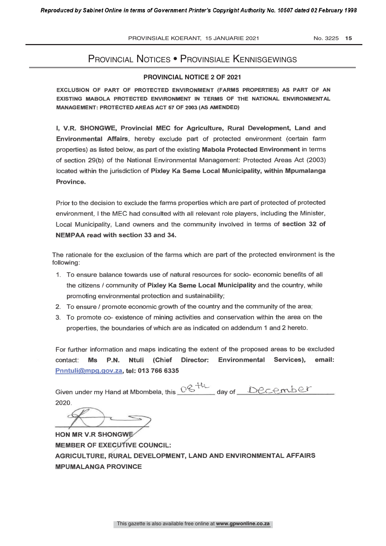## PROVINCIAL NOTICES • PROVINSIALE KENNISGEWINGS

### **PROVINCIAL NOTICE 2 OF 2021**

EXCLUSION OF PART OF PROTECTED ENVIRONMENT (FARMS PROPERTIES) AS PART OF AN EXISTING MABOLA PROTECTED ENVIRONMENT IN TERMS OF THE NATIONAL ENVIRONMENTAL MANAGEMENT: PROTECTED AREAS ACT 57 OF 2003 (AS AMENDED)

I, V.R. SHONGWE, Provincial MEC for Agriculture, Rural Development, Land and Environmental Affairs, hereby exclude part of protected environment (certain farm properties) as listed below, as part of the existing Mabola Protected Environment in terms of section 29(b) of the National Environmental Management: Protected Areas Act (2003) located within the jurisdiction of Pixley Ka Seme Local Municipality, within Mpumalanga Province.

Prior to the decision to exclude the farms properties which are part of protected of protected environment, I the MEC had consulted with all relevant role players, including the Minister, Local Municipality, Land owners and the community involved in terms of section 32 of NEMPAA read with section 33 and 34.

The rationale for the exclusion of the farms which are part of the protected environment is the following:

- 1. To ensure balance towards use of natural resources for socio- economic benefits of all the citizens / community of Pixley Ka Seme Local Municipality and the country, while promoting environmental protection and sustainability;
- 2. To ensure / promote economic growth of the country and the community of the area;
- 3. To promote co- existence of mining activities and conservation within the area on the properties, the boundaries of which are as indicated on addendum 1 and 2 hereto.

For further information and maps indicating the extent of the proposed areas to be excluded contact: Ms P.N. Ntuli (Chief Director: Environmental Services), email: Pnntuli@mpg.gov.za, tel: 013 766 6335

Given under my Hand at Mbombela, this  $0<sup>2</sup>$ <sup>+t</sup> day of December 2020.

HON MR V.R SHONGWE **MEMBER OF EXECUTIVE COUNCIL:** AGRICULTURE, RURAL DEVELOPMENT, LAND AND ENVIRONMENTAL AFFAIRS MPUMALANGA PROVINCE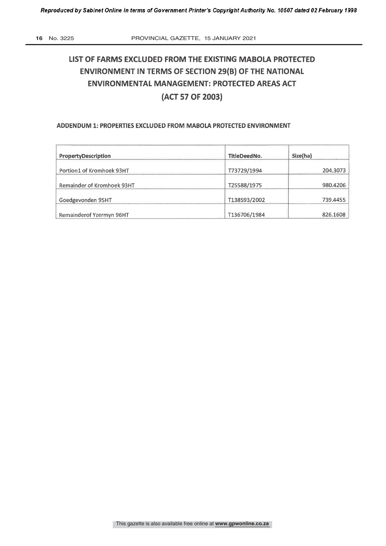# LIST OF FARMS EXCLUDED FROM THE EXISTING MABOLA PROTECTED ENVIRONMENT IN TERMS OF SECTION 29(B) OF THE NATIONAL ENVIRONMENTAL MANAGEMENT: PROTECTED AREAS ACT (ACT 57 OF 2003)

#### ADDENDUM 1: PROPERTIES EXCLUDED FROM MABOLA PROTECTED ENVIRONMENT

| PropertyDescription        | TitleDeedNo. | Size(ha) |
|----------------------------|--------------|----------|
| Portion1 of Kromhoek 93HT  | T73729/1994  | 204.3073 |
| Remainder of Kromhoek 93HT | T25588/1975  | 980.4206 |
| Goedgevonden 95HT          | T138593/2002 | 739.4455 |
| Remainderof Yzermyn 96HT   | T136706/1984 | 826,1608 |